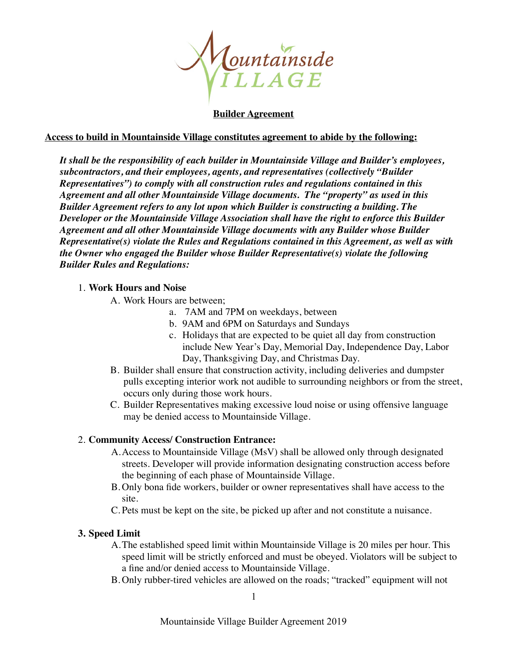

## **Builder Agreement**

### **Access to build in Mountainside Village constitutes agreement to abide by the following:**

*It shall be the responsibility of each builder in Mountainside Village and Builder's employees, subcontractors, and their employees, agents, and representatives (collectively "Builder Representatives") to comply with all construction rules and regulations contained in this Agreement and all other Mountainside Village documents. The "property" as used in this Builder Agreement refers to any lot upon which Builder is constructing a building. The Developer or the Mountainside Village Association shall have the right to enforce this Builder Agreement and all other Mountainside Village documents with any Builder whose Builder Representative(s) violate the Rules and Regulations contained in this Agreement, as well as with the Owner who engaged the Builder whose Builder Representative(s) violate the following Builder Rules and Regulations:* 

### 1. **Work Hours and Noise**

- A. Work Hours are between;
	- a. 7AM and 7PM on weekdays, between
	- b. 9AM and 6PM on Saturdays and Sundays
	- c. Holidays that are expected to be quiet all day from construction include New Year's Day, Memorial Day, Independence Day, Labor Day, Thanksgiving Day, and Christmas Day.
- B. Builder shall ensure that construction activity, including deliveries and dumpster pulls excepting interior work not audible to surrounding neighbors or from the street, occurs only during those work hours.
- C. Builder Representatives making excessive loud noise or using offensive language may be denied access to Mountainside Village.

## 2. **Community Access/ Construction Entrance:**

- A.Access to Mountainside Village (MsV) shall be allowed only through designated streets. Developer will provide information designating construction access before the beginning of each phase of Mountainside Village.
- B. Only bona fide workers, builder or owner representatives shall have access to the site.
- C. Pets must be kept on the site, be picked up after and not constitute a nuisance.

## **3. Speed Limit**

- A.The established speed limit within Mountainside Village is 20 miles per hour. This speed limit will be strictly enforced and must be obeyed. Violators will be subject to a fine and/or denied access to Mountainside Village.
- B. Only rubber-tired vehicles are allowed on the roads; "tracked" equipment will not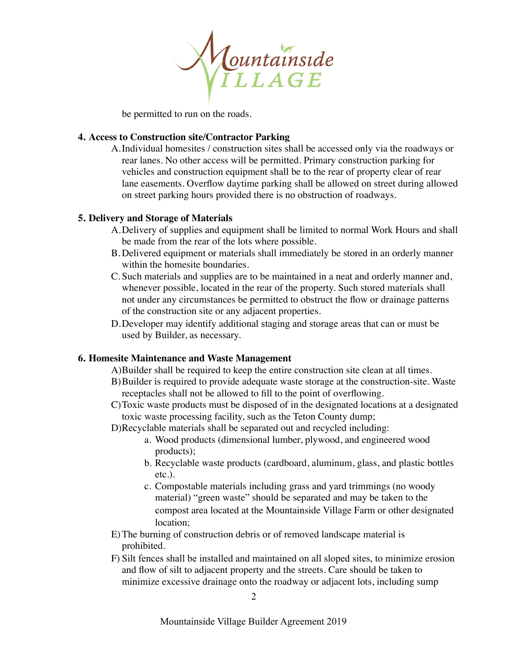

be permitted to run on the roads.

# **4. Access to Construction site/Contractor Parking**

A.Individual homesites / construction sites shall be accessed only via the roadways or rear lanes. No other access will be permitted. Primary construction parking for vehicles and construction equipment shall be to the rear of property clear of rear lane easements. Overflow daytime parking shall be allowed on street during allowed on street parking hours provided there is no obstruction of roadways.

# **5. Delivery and Storage of Materials**

- A.Delivery of supplies and equipment shall be limited to normal Work Hours and shall be made from the rear of the lots where possible.
- B. Delivered equipment or materials shall immediately be stored in an orderly manner within the homesite boundaries.
- C. Such materials and supplies are to be maintained in a neat and orderly manner and, whenever possible, located in the rear of the property. Such stored materials shall not under any circumstances be permitted to obstruct the flow or drainage patterns of the construction site or any adjacent properties.
- D.Developer may identify additional staging and storage areas that can or must be used by Builder, as necessary.

## **6. Homesite Maintenance and Waste Management**

- A)Builder shall be required to keep the entire construction site clean at all times.
- B)Builder is required to provide adequate waste storage at the construction-site. Waste receptacles shall not be allowed to fill to the point of overflowing.
- C)Toxic waste products must be disposed of in the designated locations at a designated toxic waste processing facility, such as the Teton County dump;
- D)Recyclable materials shall be separated out and recycled including:
	- a. Wood products (dimensional lumber, plywood, and engineered wood products);
	- b. Recyclable waste products (cardboard, aluminum, glass, and plastic bottles etc.).
	- c. Compostable materials including grass and yard trimmings (no woody material) "green waste" should be separated and may be taken to the compost area located at the Mountainside Village Farm or other designated location;
- E)The burning of construction debris or of removed landscape material is prohibited.
- F) Silt fences shall be installed and maintained on all sloped sites, to minimize erosion and flow of silt to adjacent property and the streets. Care should be taken to minimize excessive drainage onto the roadway or adjacent lots, including sump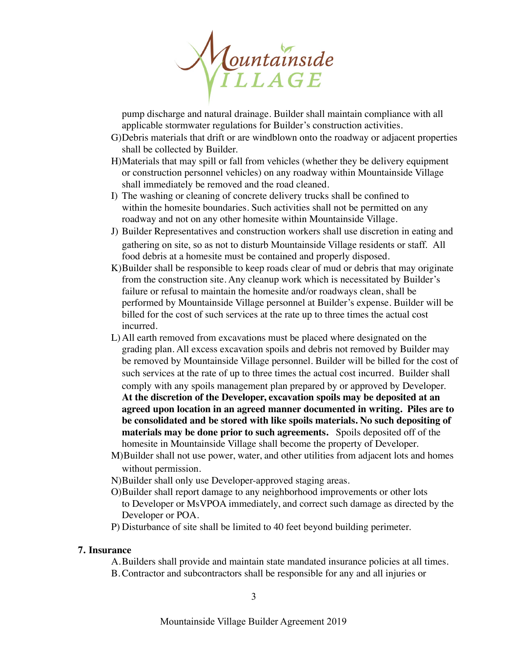

pump discharge and natural drainage. Builder shall maintain compliance with all applicable stormwater regulations for Builder's construction activities.

- G)Debris materials that drift or are windblown onto the roadway or adjacent properties shall be collected by Builder.
- H)Materials that may spill or fall from vehicles (whether they be delivery equipment or construction personnel vehicles) on any roadway within Mountainside Village shall immediately be removed and the road cleaned.
- I) The washing or cleaning of concrete delivery trucks shall be confined to within the homesite boundaries. Such activities shall not be permitted on any roadway and not on any other homesite within Mountainside Village.
- J) Builder Representatives and construction workers shall use discretion in eating and gathering on site, so as not to disturb Mountainside Village residents or staff. All food debris at a homesite must be contained and properly disposed.
- K)Builder shall be responsible to keep roads clear of mud or debris that may originate from the construction site. Any cleanup work which is necessitated by Builder's failure or refusal to maintain the homesite and/or roadways clean, shall be performed by Mountainside Village personnel at Builder's expense. Builder will be billed for the cost of such services at the rate up to three times the actual cost incurred.
- L)All earth removed from excavations must be placed where designated on the grading plan. All excess excavation spoils and debris not removed by Builder may be removed by Mountainside Village personnel. Builder will be billed for the cost of such services at the rate of up to three times the actual cost incurred. Builder shall comply with any spoils management plan prepared by or approved by Developer. **At the discretion of the Developer, excavation spoils may be deposited at an agreed upon location in an agreed manner documented in writing. Piles are to be consolidated and be stored with like spoils materials. No such depositing of materials may be done prior to such agreements.** Spoils deposited off of the homesite in Mountainside Village shall become the property of Developer.
- M)Builder shall not use power, water, and other utilities from adjacent lots and homes without permission.
- N)Builder shall only use Developer-approved staging areas.
- O)Builder shall report damage to any neighborhood improvements or other lots to Developer or MsVPOA immediately, and correct such damage as directed by the Developer or POA.
- P) Disturbance of site shall be limited to 40 feet beyond building perimeter.

#### **7. Insurance**

- A.Builders shall provide and maintain state mandated insurance policies at all times.
- B.Contractor and subcontractors shall be responsible for any and all injuries or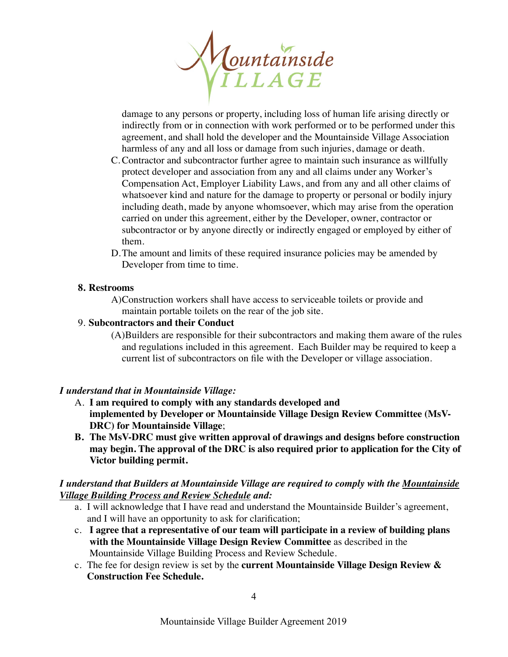

damage to any persons or property, including loss of human life arising directly or indirectly from or in connection with work performed or to be performed under this agreement, and shall hold the developer and the Mountainside Village Association harmless of any and all loss or damage from such injuries, damage or death.

- C.Contractor and subcontractor further agree to maintain such insurance as willfully protect developer and association from any and all claims under any Worker's Compensation Act, Employer Liability Laws, and from any and all other claims of whatsoever kind and nature for the damage to property or personal or bodily injury including death, made by anyone whomsoever, which may arise from the operation carried on under this agreement, either by the Developer, owner, contractor or subcontractor or by anyone directly or indirectly engaged or employed by either of them.
- D.The amount and limits of these required insurance policies may be amended by Developer from time to time.

## **8. Restrooms**

A)Construction workers shall have access to serviceable toilets or provide and maintain portable toilets on the rear of the job site.

# 9. **Subcontractors and their Conduct**

(A)Builders are responsible for their subcontractors and making them aware of the rules and regulations included in this agreement. Each Builder may be required to keep a current list of subcontractors on file with the Developer or village association.

# *I understand that in Mountainside Village:*

- A. **I am required to comply with any standards developed and implemented by Developer or Mountainside Village Design Review Committee (MsV-DRC) for Mountainside Village**;
- **B. The MsV-DRC must give written approval of drawings and designs before construction may begin. The approval of the DRC is also required prior to application for the City of Victor building permit.**

# *I understand that Builders at Mountainside Village are required to comply with the Mountainside Village Building Process and Review Schedule and:*

- a. I will acknowledge that I have read and understand the Mountainside Builder's agreement, and I will have an opportunity to ask for clarification;
- c. **I agree that a representative of our team will participate in a review of building plans with the Mountainside Village Design Review Committee** as described in the Mountainside Village Building Process and Review Schedule.
- c. The fee for design review is set by the **current Mountainside Village Design Review & Construction Fee Schedule.**